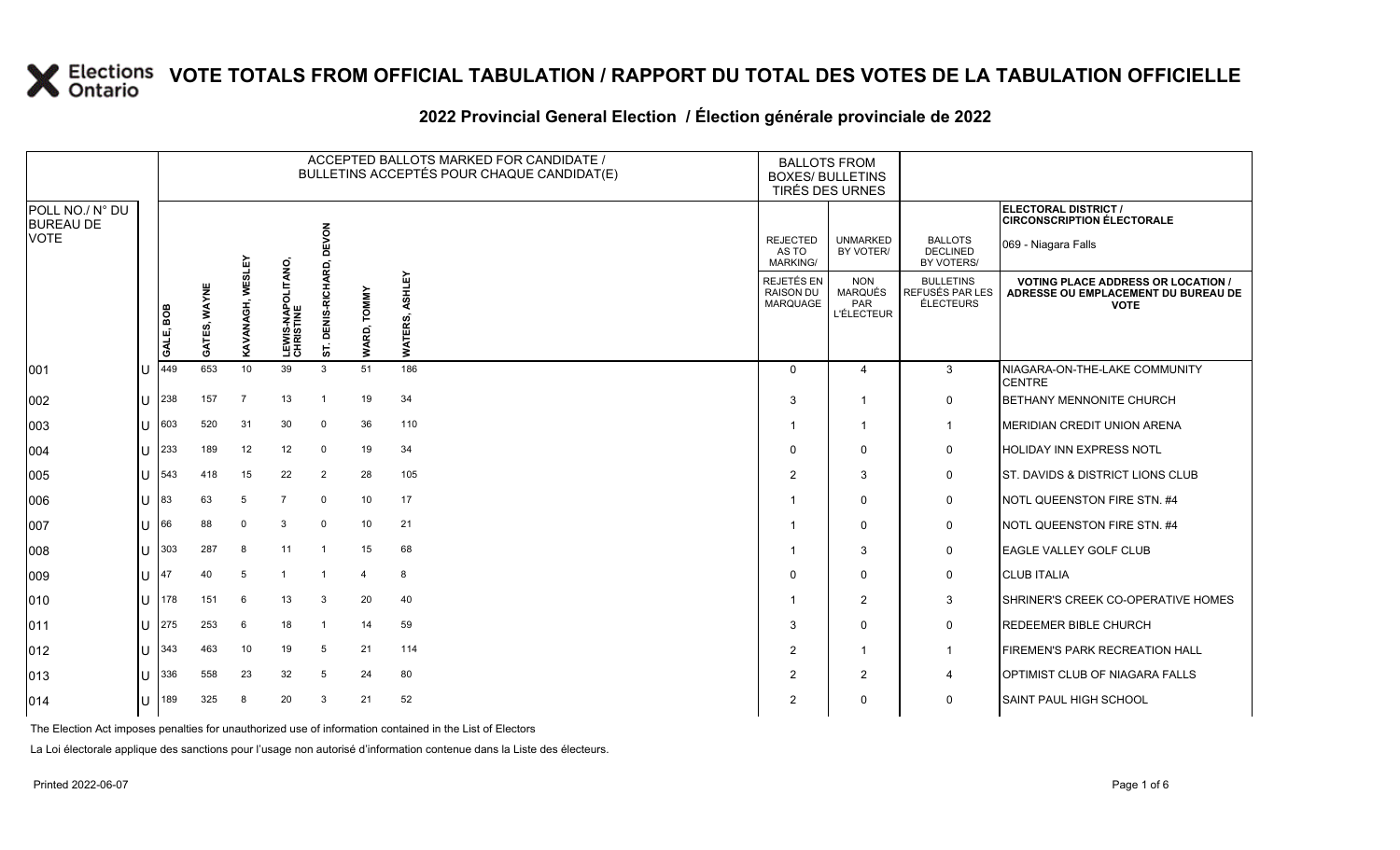#### **2022 Provincial General Election / Élection générale provinciale de 2022**

|                                     |              |           |              |                  |                                        |                        |                       | ACCEPTED BALLOTS MARKED FOR CANDIDATE /<br>BULLETINS ACCEPTÉS POUR CHAQUE CANDIDAT(E) | <b>BALLOTS FROM</b><br><b>BOXES/ BULLETINS</b><br>TIRÉS DES URNES |                                                   |                                                  |                                                                                               |
|-------------------------------------|--------------|-----------|--------------|------------------|----------------------------------------|------------------------|-----------------------|---------------------------------------------------------------------------------------|-------------------------------------------------------------------|---------------------------------------------------|--------------------------------------------------|-----------------------------------------------------------------------------------------------|
| POLL NO./ N° DU<br><b>BUREAU DE</b> |              |           |              |                  |                                        |                        |                       |                                                                                       |                                                                   |                                                   |                                                  | <b>ELECTORAL DISTRICT /</b><br><b>CIRCONSCRIPTION ÉLECTORALE</b>                              |
| <b>VOTE</b>                         |              |           |              |                  |                                        | EVON<br>$\Omega$<br>6. |                       |                                                                                       | <b>REJECTED</b><br>AS TO<br>MARKING/                              | <b>UNMARKED</b><br>BY VOTER/                      | <b>BALLOTS</b><br><b>DECLINED</b><br>BY VOTERS/  | 069 - Niagara Falls                                                                           |
|                                     |              | GALE, BOB | GATES, WAYNE | KAVANAGH, WESLEY | <b>LEWIS-NAPOLITANO,<br/>CHRISTINE</b> | DENIS-RICHA<br>57.     | <b>TOMMY</b><br>WARD, | ASHLEY<br>WATERS,                                                                     | REJETÉS EN<br><b>RAISON DU</b><br><b>MARQUAGE</b>                 | <b>NON</b><br>MARQUÉS<br>PAR<br><b>L'ÉLECTEUR</b> | <b>BULLETINS</b><br>REFUSÉS PAR LES<br>ÉLECTEURS | <b>VOTING PLACE ADDRESS OR LOCATION</b><br>ADRESSE OU EMPLACEMENT DU BUREAU DE<br><b>VOTE</b> |
| 001                                 | U            | 449       | 653          | 10               | 39                                     | $\mathbf{3}$           | 51                    | 186                                                                                   | $\Omega$                                                          | 4                                                 | 3                                                | NIAGARA-ON-THE-LAKE COMMUNITY<br><b>CENTRE</b>                                                |
| 002                                 | ΙU           | 238       | 157          | $\overline{7}$   | 13                                     | $\overline{1}$         | 19                    | 34                                                                                    | 3                                                                 | -1                                                | $\mathbf 0$                                      | <b>BETHANY MENNONITE CHURCH</b>                                                               |
| 003                                 | U            | 603       | 520          | 31               | 30                                     | $\mathbf 0$            | 36                    | 110                                                                                   | -1                                                                | $\mathbf{1}$                                      | $\mathbf{1}$                                     | MERIDIAN CREDIT UNION ARENA                                                                   |
| 004                                 | Ш            | 233       | 189          | 12               | 12                                     | $\mathbf 0$            | 19                    | 34                                                                                    | $\Omega$                                                          | $\Omega$                                          | 0                                                | <b>HOLIDAY INN EXPRESS NOTL</b>                                                               |
| 005                                 | U            | 543       | 418          | 15               | 22                                     | $\overline{2}$         | 28                    | 105                                                                                   | $\overline{2}$                                                    | 3                                                 | $\mathbf 0$                                      | <b>ST. DAVIDS &amp; DISTRICT LIONS CLUB</b>                                                   |
| 006                                 | $\mathbf{U}$ | 83        | 63           | 5                | 7                                      | $\mathbf 0$            | 10                    | 17                                                                                    | -1                                                                | $\Omega$                                          | $\mathbf 0$                                      | NOTL QUEENSTON FIRE STN. #4                                                                   |
| 007                                 | ΠT           | 66        | 88           | $\mathbf 0$      | 3                                      | $\mathbf 0$            | 10                    | 21                                                                                    |                                                                   | $\Omega$                                          | $\mathbf 0$                                      | NOTL QUEENSTON FIRE STN. #4                                                                   |
| 008                                 | lΗ           | 303       | 287          | 8                | 11                                     | -1                     | 15                    | 68                                                                                    |                                                                   | 3                                                 | 0                                                | <b>EAGLE VALLEY GOLF CLUB</b>                                                                 |
| $ 009\rangle$                       | ΠT           | 47        | 40           | 5                |                                        |                        | $\overline{a}$        | 8                                                                                     | $\Omega$                                                          | $\Omega$                                          | 0                                                | <b>CLUB ITALIA</b>                                                                            |
| 010                                 | U            | 178       | 151          | 6                | 13                                     | 3                      | 20                    | 40                                                                                    | -1                                                                | 2                                                 | 3                                                | <b>SHRINER'S CREEK CO-OPERATIVE HOMES</b>                                                     |
| 011                                 | ΙU           | 275       | 253          | 6                | 18                                     | $\overline{1}$         | 14                    | 59                                                                                    | 3                                                                 | $\Omega$                                          | 0                                                | <b>REDEEMER BIBLE CHURCH</b>                                                                  |
| $ 012\rangle$                       | U            | 343       | 463          | 10               | 19                                     | 5                      | 21                    | 114                                                                                   | $\overline{2}$                                                    | -1                                                | $\mathbf{1}$                                     | <b>FIREMEN'S PARK RECREATION HALL</b>                                                         |
| 013                                 | U            | 336       | 558          | 23               | 32                                     | 5                      | 24                    | 80                                                                                    | $\overline{2}$                                                    | 2                                                 | 4                                                | OPTIMIST CLUB OF NIAGARA FALLS                                                                |
| $ 014\rangle$                       | U            | 189       | 325          | 8                | 20                                     | 3                      | 21                    | 52                                                                                    | $\overline{2}$                                                    | 0                                                 | 0                                                | SAINT PAUL HIGH SCHOOL                                                                        |

The Election Act imposes penalties for unauthorized use of information contained in the List of Electors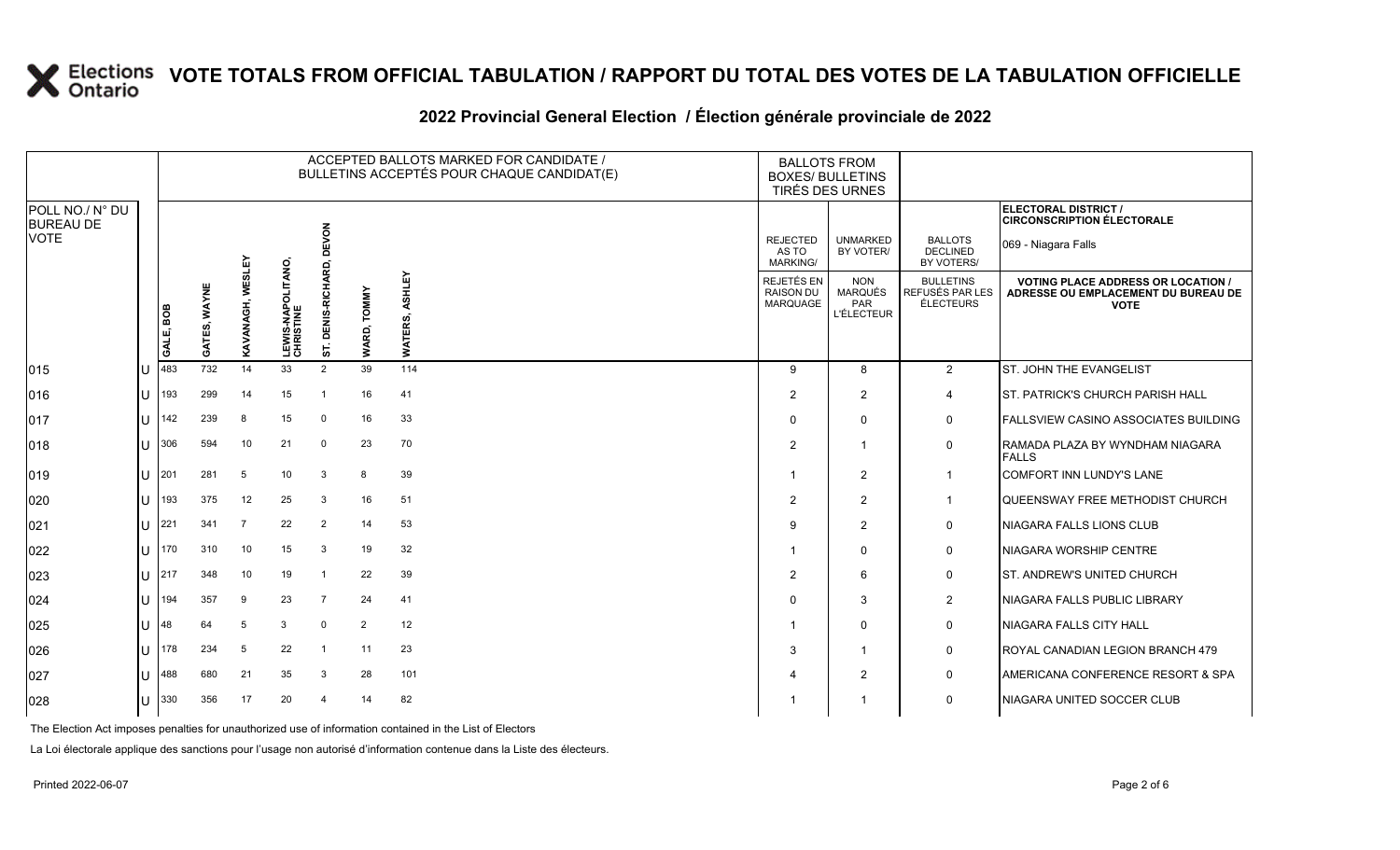|                                                    | ACCEPTED BALLOTS MARKED FOR CANDIDATE /<br>BULLETINS ACCEPTÉS POUR CHAQUE CANDIDAT(E) |              |                         |                                        |                                     |                       |                   | <b>BALLOTS FROM</b><br><b>BOXES/ BULLETINS</b> | TIRÉS DES URNES                                   |                                                         |                                                                                                 |
|----------------------------------------------------|---------------------------------------------------------------------------------------|--------------|-------------------------|----------------------------------------|-------------------------------------|-----------------------|-------------------|------------------------------------------------|---------------------------------------------------|---------------------------------------------------------|-------------------------------------------------------------------------------------------------|
| POLL NO./ N° DU<br><b>BUREAU DE</b><br><b>VOTE</b> |                                                                                       |              |                         |                                        | EVON                                |                       |                   | <b>REJECTED</b><br>AS TO                       | <b>UNMARKED</b><br>BY VOTER/                      | <b>BALLOTS</b><br><b>DECLINED</b>                       | ELECTORAL DISTRICT /<br><b>CIRCONSCRIPTION ÉLECTORALE</b><br>069 - Niagara Falls                |
|                                                    |                                                                                       |              |                         |                                        | ō<br>6                              |                       |                   | <b>MARKING/</b>                                |                                                   | BY VOTERS/                                              |                                                                                                 |
|                                                    | GALE, BOB                                                                             | GATES, WAYNE | <b>KAVANAGH, WESLEY</b> | <b>LEWIS-NAPOLITANO,<br/>CHRISTINE</b> | <b>RICHAI</b><br>ENIS-I<br>$\Omega$ | <b>TOMMY</b><br>WARD, | ASHLEY<br>WATERS, | REJETÉS EN<br><b>RAISON DU</b><br>MARQUAGE     | <b>NON</b><br>MARQUÉS<br>PAR<br><b>L'ÉLECTEUR</b> | <b>BULLETINS</b><br>REFUSÉS PAR LES<br><b>ÉLECTEURS</b> | <b>VOTING PLACE ADDRESS OR LOCATION /</b><br>ADRESSE OU EMPLACEMENT DU BUREAU DE<br><b>VOTE</b> |
| 015                                                | 483                                                                                   | 732          | 14                      | 33                                     | 57.<br>$\overline{2}$               | 39                    | 114               | 9                                              | 8                                                 | 2                                                       | <b>ST. JOHN THE EVANGELIST</b>                                                                  |
| 016                                                | 193                                                                                   | 299          | 14                      | 15                                     | -1                                  | 16                    | 41                | $\overline{2}$                                 | $\overline{2}$                                    | $\overline{4}$                                          | ST. PATRICK'S CHURCH PARISH HALL                                                                |
| 017                                                | 142                                                                                   | 239          | 8                       | 15                                     | $\overline{0}$                      | 16                    | 33                | $\Omega$                                       | $\mathbf 0$                                       | 0                                                       | <b>FALLSVIEW CASINO ASSOCIATES BUILDING</b>                                                     |
| 018                                                | 306                                                                                   | 594          | 10                      | 21                                     | $\Omega$                            | 23                    | 70                | $\overline{2}$                                 | -1                                                | $\mathbf 0$                                             | RAMADA PLAZA BY WYNDHAM NIAGARA<br><b>FALLS</b>                                                 |
| 019                                                | 201                                                                                   | 281          | 5                       | 10                                     | 3                                   | 8                     | 39                | -1                                             | 2                                                 | $\overline{\mathbf{1}}$                                 | <b>COMFORT INN LUNDY'S LANE</b>                                                                 |
| 020                                                | 193                                                                                   | 375          | 12                      | 25                                     | 3                                   | 16                    | 51                | 2                                              | 2                                                 | -1                                                      | QUEENSWAY FREE METHODIST CHURCH                                                                 |
| 021                                                | 221                                                                                   | 341          | $\overline{7}$          | 22                                     | $\overline{2}$                      | 14                    | 53                | 9                                              | 2                                                 | $\mathbf 0$                                             | NIAGARA FALLS LIONS CLUB                                                                        |
| 022                                                | 170                                                                                   | 310          | 10                      | 15                                     | 3                                   | 19                    | 32                | -1                                             | $\Omega$                                          | $\mathbf 0$                                             | NIAGARA WORSHIP CENTRE                                                                          |
| 023                                                | 217                                                                                   | 348          | 10                      | 19                                     | -1                                  | 22                    | 39                | $\overline{2}$                                 | 6                                                 | $\mathbf 0$                                             | <b>ST. ANDREW'S UNITED CHURCH</b>                                                               |
| 024                                                | 194                                                                                   | 357          | 9                       | 23                                     | $\overline{7}$                      | 24                    | 41                | $\Omega$                                       | 3                                                 | 2                                                       | NIAGARA FALLS PUBLIC LIBRARY                                                                    |
| 025                                                | 48                                                                                    | 64           | 5                       | 3                                      | $\Omega$                            | $\overline{2}$        | 12                | -1                                             | $\Omega$                                          | $\mathbf 0$                                             | <b>NIAGARA FALLS CITY HALL</b>                                                                  |
| 026                                                | 178                                                                                   | 234          | 5                       | 22                                     | $\mathbf{1}$                        | 11                    | 23                | 3                                              | -1                                                | $\mathbf 0$                                             | ROYAL CANADIAN LEGION BRANCH 479                                                                |
| 027                                                | 488                                                                                   | 680          | 21                      | 35                                     | -3                                  | 28                    | 101               | Δ                                              | 2                                                 | $\mathbf 0$                                             | <b>AMERICANA CONFERENCE RESORT &amp; SPA</b>                                                    |
| 028                                                | 330                                                                                   | 356          | 17                      | 20                                     | $\boldsymbol{\varDelta}$            | 14                    | 82                |                                                | -1                                                | $\Omega$                                                | NIAGARA UNITED SOCCER CLUB                                                                      |
|                                                    |                                                                                       |              |                         |                                        |                                     |                       |                   |                                                |                                                   |                                                         |                                                                                                 |

#### **2022 Provincial General Election / Élection générale provinciale de 2022**

The Election Act imposes penalties for unauthorized use of information contained in the List of Electors

La Loi électorale applique des sanctions pour l'usage non autorisé d'information contenue dans la Liste des électeurs.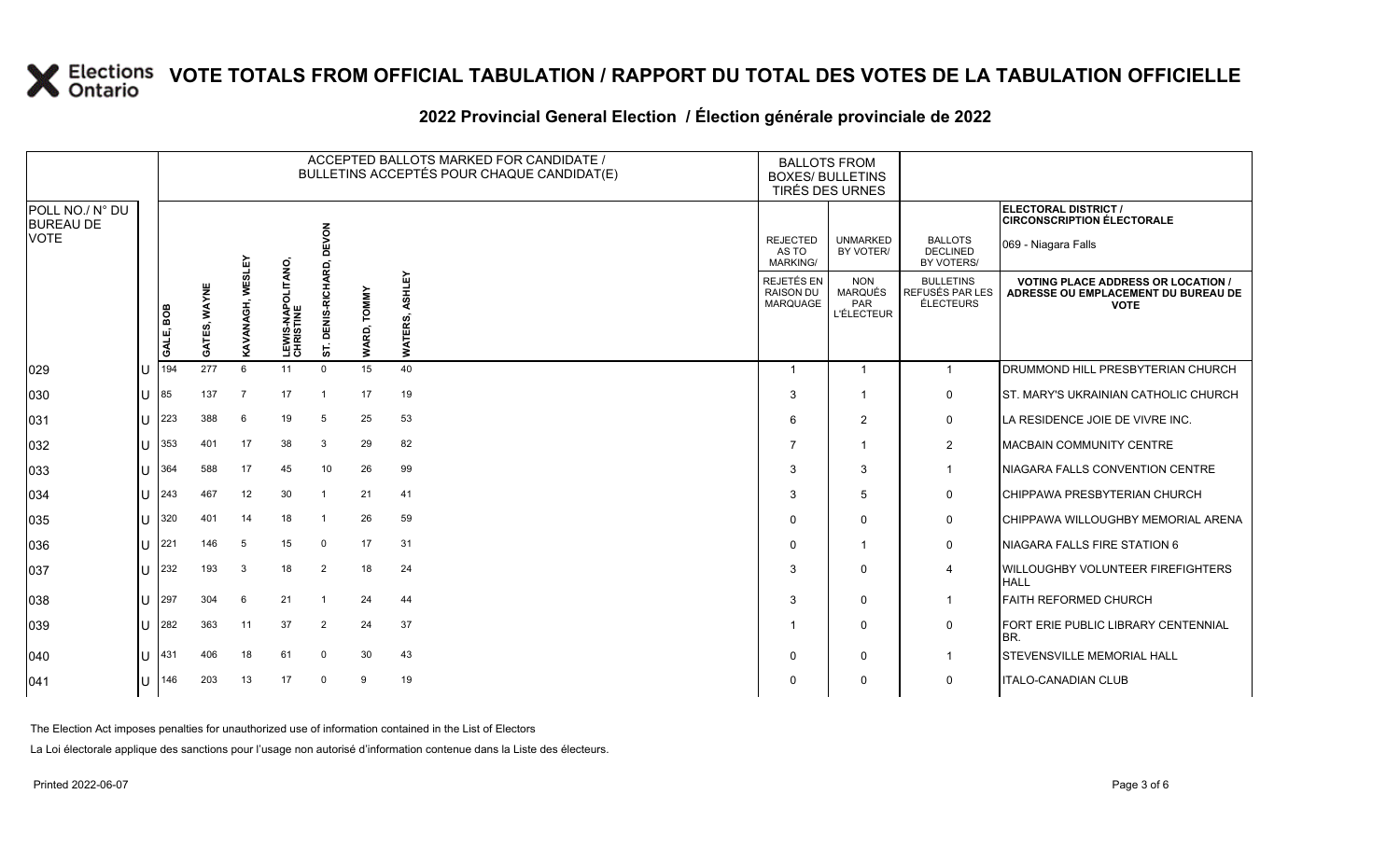#### **2022 Provincial General Election / Élection générale provinciale de 2022**

|                                     |              |           |              |                  |                                        |                           |                       | ACCEPTED BALLOTS MARKED FOR CANDIDATE /<br>BULLETINS ACCEPTÉS POUR CHAQUE CANDIDAT(E) | <b>BALLOTS FROM</b><br><b>BOXES/ BULLETINS</b><br>TIRÉS DES URNES |                                                          |                                                  |                                                                                                 |
|-------------------------------------|--------------|-----------|--------------|------------------|----------------------------------------|---------------------------|-----------------------|---------------------------------------------------------------------------------------|-------------------------------------------------------------------|----------------------------------------------------------|--------------------------------------------------|-------------------------------------------------------------------------------------------------|
| POLL NO./ N° DU<br><b>BUREAU DE</b> |              |           |              |                  |                                        |                           |                       |                                                                                       |                                                                   |                                                          |                                                  | ELECTORAL DISTRICT /<br><b>CIRCONSCRIPTION ÉLECTORALE</b>                                       |
| <b>VOTE</b>                         |              |           |              |                  |                                        | EVON<br>ᅙ                 |                       |                                                                                       | <b>REJECTED</b><br>AS TO<br><b>MARKING/</b>                       | <b>UNMARKED</b><br>BY VOTER/                             | <b>BALLOTS</b><br><b>DECLINED</b><br>BY VOTERS/  | 069 - Niagara Falls                                                                             |
|                                     |              | GALE, BOB | GATES, WAYNE | KAVANAGH, WESLEY | <b>LEWIS-NAPOLITANO,<br/>CHRISTINE</b> | S-RICHARD,<br>DENI<br>57. | <b>TOMMY</b><br>WARD, | ASHLEY<br>တဲ<br>Ë<br>WATI                                                             | REJETÉS EN<br><b>RAISON DU</b><br>MARQUAGE                        | <b>NON</b><br><b>MARQUÉS</b><br>PAR<br><b>L'ÉLECTEUR</b> | <b>BULLETINS</b><br>REFUSÉS PAR LES<br>ÉLECTEURS | <b>VOTING PLACE ADDRESS OR LOCATION /</b><br>ADRESSE OU EMPLACEMENT DU BUREAU DE<br><b>VOTE</b> |
| 029                                 | ΙU           | 194       | 277          | $6\overline{6}$  | 11                                     | $\overline{0}$            | 15                    | 40                                                                                    | $\overline{\mathbf{1}}$                                           | $\overline{1}$                                           | $\overline{1}$                                   | DRUMMOND HILL PRESBYTERIAN CHURCH                                                               |
| 030                                 | lU           | 85        | 137          | $\overline{7}$   | 17                                     | $\mathbf{1}$              | 17                    | 19                                                                                    | 3                                                                 |                                                          | $\mathbf 0$                                      | ST. MARY'S UKRAINIAN CATHOLIC CHURCH.                                                           |
| 031                                 | ΙU           | 223       | 388          | 6                | 19                                     | 5                         | 25                    | 53                                                                                    | 6                                                                 | $\overline{2}$                                           | $\mathbf 0$                                      | LA RESIDENCE JOIE DE VIVRE INC.                                                                 |
| 032                                 | lu           | 353       | 401          | 17               | 38                                     | 3                         | 29                    | 82                                                                                    | $\overline{7}$                                                    | $\overline{1}$                                           | $\overline{2}$                                   | <b>MACBAIN COMMUNITY CENTRE</b>                                                                 |
| 033                                 | lU           | 364       | 588          | 17               | 45                                     | 10                        | 26                    | 99                                                                                    | 3                                                                 | 3                                                        | -1                                               | NIAGARA FALLS CONVENTION CENTRE                                                                 |
| 034                                 | Ш            | 243       | 467          | 12               | 30                                     | $\overline{1}$            | 21                    | 41                                                                                    | 3                                                                 | 5                                                        | $\mathbf 0$                                      | CHIPPAWA PRESBYTERIAN CHURCH                                                                    |
| 035                                 | ΙU           | 320       | 401          | 14               | 18                                     | -1                        | 26                    | 59                                                                                    | $\mathbf 0$                                                       | $\Omega$                                                 | $\mathbf 0$                                      | CHIPPAWA WILLOUGHBY MEMORIAL ARENA                                                              |
| 036                                 | ΙU           | 221       | 146          | 5                | 15                                     | $\mathbf 0$               | 17                    | 31                                                                                    | $\Omega$                                                          | 1                                                        | $\mathbf 0$                                      | NIAGARA FALLS FIRE STATION 6                                                                    |
| 037                                 | IП           | 232       | 193          | 3                | 18                                     | 2                         | 18                    | 24                                                                                    | 3                                                                 | $\Omega$                                                 | $\overline{\mathcal{A}}$                         | WILLOUGHBY VOLUNTEER FIREFIGHTERS<br><b>HALL</b>                                                |
| 038                                 | ΙU           | 297       | 304          | 6                | 21                                     | $\mathbf{1}$              | 24                    | 44                                                                                    | 3                                                                 | $\Omega$                                                 | $\overline{1}$                                   | <b>FAITH REFORMED CHURCH</b>                                                                    |
| 039                                 | lU           | 282       | 363          | 11               | 37                                     | $\overline{2}$            | 24                    | 37                                                                                    |                                                                   | $\Omega$                                                 | $\mathbf 0$                                      | FORT ERIE PUBLIC LIBRARY CENTENNIAL<br>BR.                                                      |
| 040                                 | ПT           | 431       | 406          | 18               | 61                                     | $\Omega$                  | 30                    | 43                                                                                    | $\Omega$                                                          | $\Omega$                                                 | $\mathbf 1$                                      | <b>STEVENSVILLE MEMORIAL HALL</b>                                                               |
| 041                                 | $\mathbf{U}$ | 146       | 203          | 13               | 17                                     | $\Omega$                  | -9                    | 19                                                                                    | $\Omega$                                                          | 0                                                        | 0                                                | <b>ITALO-CANADIAN CLUB</b>                                                                      |

The Election Act imposes penalties for unauthorized use of information contained in the List of Electors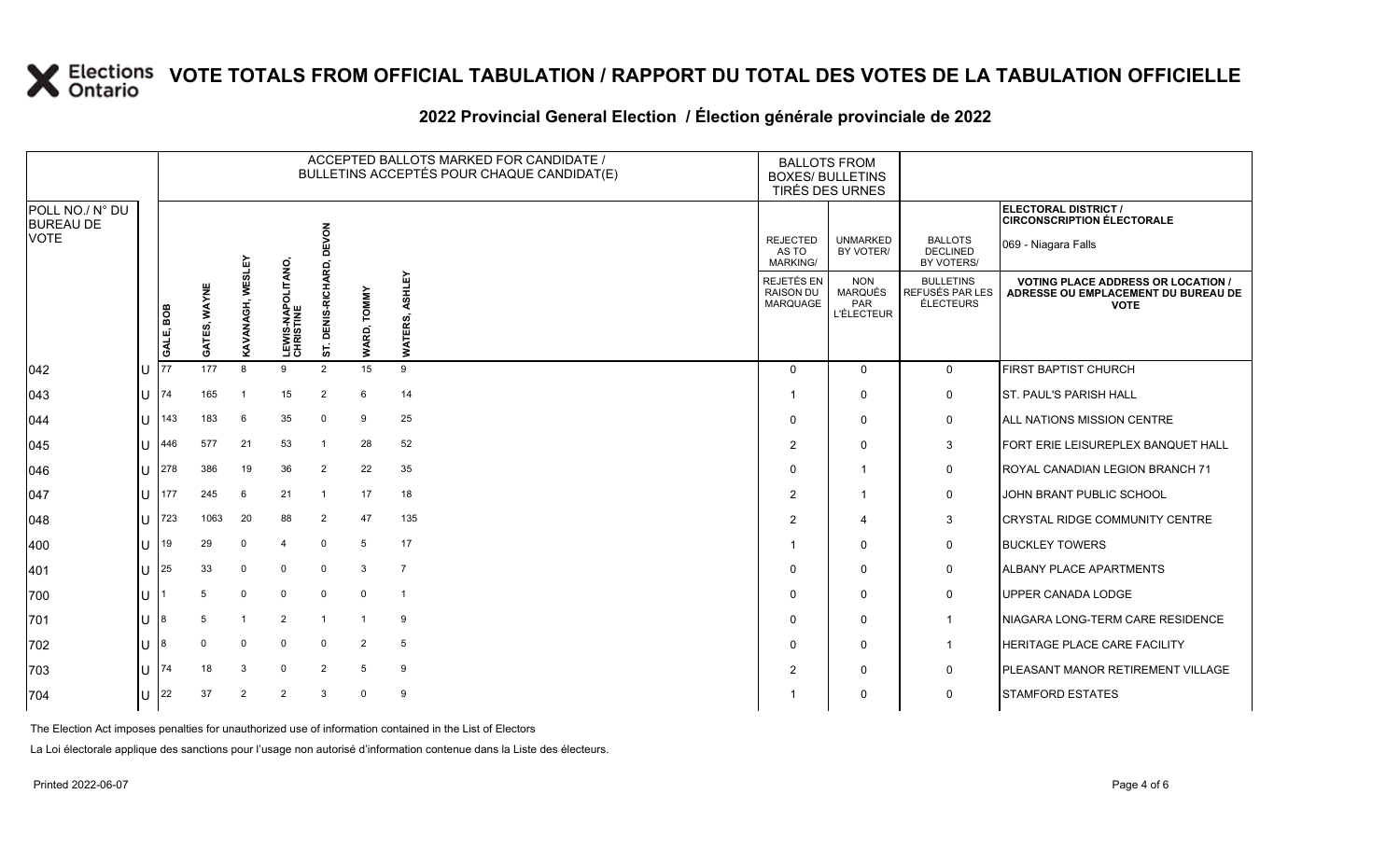#### **2022 Provincial General Election / Élection générale provinciale de 2022**

|                                     |              |           |                 |                |                                        |                            |                       | ACCEPTED BALLOTS MARKED FOR CANDIDATE /<br>BULLETINS ACCEPTÉS POUR CHAQUE CANDIDAT(E) | <b>BALLOTS FROM</b><br><b>BOXES/ BULLETINS</b><br>TIRÉS DES URNES |                                                          |                                                  |                                                                                                 |
|-------------------------------------|--------------|-----------|-----------------|----------------|----------------------------------------|----------------------------|-----------------------|---------------------------------------------------------------------------------------|-------------------------------------------------------------------|----------------------------------------------------------|--------------------------------------------------|-------------------------------------------------------------------------------------------------|
| POLL NO./ N° DU<br><b>BUREAU DE</b> |              |           |                 |                |                                        |                            |                       |                                                                                       |                                                                   |                                                          |                                                  | ELECTORAL DISTRICT /<br><b>CIRCONSCRIPTION ÉLECTORALE</b>                                       |
| <b>VOTE</b>                         |              |           |                 | ΑĒΓ            |                                        | EVON<br>Δ<br>ó<br>ᄙ        |                       |                                                                                       | <b>REJECTED</b><br>AS TO<br>MARKING/                              | <b>UNMARKED</b><br>BY VOTER/                             | <b>BALLOTS</b><br><b>DECLINED</b><br>BY VOTERS/  | 069 - Niagara Falls                                                                             |
|                                     |              | GALE, BOB | WAYNE<br>GATES, | KAVANAGH, WES  | <b>LEWIS-NAPOLITANO,<br/>CHRISTINE</b> | RICHAI<br>ENIS-F<br>ā<br>5 | <b>TOMMY</b><br>WARD, | ASHLEY<br>ERS.<br><b>TAW</b>                                                          | REJETÉS EN<br><b>RAISON DU</b><br>MARQUAGE                        | <b>NON</b><br><b>MARQUÉS</b><br>PAR<br><b>L'ÉLECTEUR</b> | <b>BULLETINS</b><br>REFUSÉS PAR LES<br>ÉLECTEURS | <b>VOTING PLACE ADDRESS OR LOCATION /</b><br>ADRESSE OU EMPLACEMENT DU BUREAU DE<br><b>VOTE</b> |
| $ 042\rangle$                       | ΙU           | 77        | 177             | 8              | 9                                      | $\overline{2}$             | 15                    | 9                                                                                     | $\Omega$                                                          | $\Omega$                                                 | $\mathbf 0$                                      | FIRST BAPTIST CHURCH                                                                            |
| $ 043\rangle$                       | IU.          | 74        | 165             |                | 15                                     | $\overline{2}$             | 6                     | 14                                                                                    |                                                                   | $\mathbf 0$                                              | 0                                                | <b>ST. PAUL'S PARISH HALL</b>                                                                   |
| 044                                 | ΙU           | 143       | 183             | 6              | 35                                     | $\Omega$                   | 9                     | 25                                                                                    | $\Omega$                                                          | $\mathbf 0$                                              | 0                                                | <b>ALL NATIONS MISSION CENTRE</b>                                                               |
| $ 045\rangle$                       | ПT           | 446       | 577             | 21             | 53                                     | $\overline{1}$             | 28                    | 52                                                                                    | 2                                                                 | $\Omega$                                                 | 3                                                | FORT ERIE LEISUREPLEX BANQUET HALL                                                              |
| 1046                                | lU           | 278       | 386             | 19             | 36                                     | $\overline{2}$             | 22                    | 35                                                                                    | $\Omega$                                                          | $\overline{1}$                                           | 0                                                | ROYAL CANADIAN LEGION BRANCH 71                                                                 |
| 047                                 | ΙU           | 177       | 245             | 6              | 21                                     |                            | 17                    | 18                                                                                    | $\overline{2}$                                                    | $\overline{1}$                                           | $\mathbf 0$                                      | JOHN BRANT PUBLIC SCHOOL                                                                        |
| 048                                 | IП           | 723       | 1063            | 20             | 88                                     | $\overline{2}$             | 47                    | 135                                                                                   | $\overline{2}$                                                    | $\overline{4}$                                           | 3                                                | <b>CRYSTAL RIDGE COMMUNITY CENTRE</b>                                                           |
| 400                                 | lu           | 19        | 29              | $\mathbf 0$    | 4                                      | $\mathbf 0$                | 5                     | 17                                                                                    |                                                                   | $\mathbf{0}$                                             | $\mathbf 0$                                      | <b>BUCKLEY TOWERS</b>                                                                           |
| 401                                 | lU           | 25        | 33              | 0              | $\mathbf 0$                            | $\mathbf 0$                | 3                     | $\overline{7}$                                                                        | $\Omega$                                                          | $\mathbf{0}$                                             | $\mathsf{O}$                                     | <b>ALBANY PLACE APARTMENTS</b>                                                                  |
| 700                                 | IП           |           | 5               | $\mathbf 0$    | $\mathbf{0}$                           | $\mathbf 0$                | $\mathbf 0$           | $\overline{\mathbf{1}}$                                                               | $\Omega$                                                          | $\mathbf 0$                                              | $\mathbf 0$                                      | UPPER CANADA LODGE                                                                              |
| 701                                 | ΙU           | 8         | 5               |                | 2                                      | $\overline{1}$             | $\overline{1}$        | 9                                                                                     | $\Omega$                                                          | $\mathbf 0$                                              | $\mathbf 1$                                      | NIAGARA LONG-TERM CARE RESIDENCE                                                                |
| 702                                 | ΙU           | 8         | $\Omega$        | $\Omega$       | $\mathbf 0$                            | $\overline{0}$             | $\overline{2}$        | 5                                                                                     | $\Omega$                                                          | $\mathbf 0$                                              | $\overline{1}$                                   | <b>HERITAGE PLACE CARE FACILITY</b>                                                             |
| 703                                 | ΙU           | 74        | 18              | 3              | $\mathbf 0$                            | $\overline{2}$             | 5                     | 9                                                                                     | $\overline{2}$                                                    | $\mathbf 0$                                              | $\mathbf 0$                                      | PLEASANT MANOR RETIREMENT VILLAGE                                                               |
| 704                                 | $\mathbf{U}$ | 22        | 37              | $\overline{2}$ | $\overline{2}$                         | 3                          | $\mathbf 0$           | 9                                                                                     |                                                                   | $\mathbf{0}$                                             | $\mathbf 0$                                      | <b>STAMFORD ESTATES</b>                                                                         |

The Election Act imposes penalties for unauthorized use of information contained in the List of Electors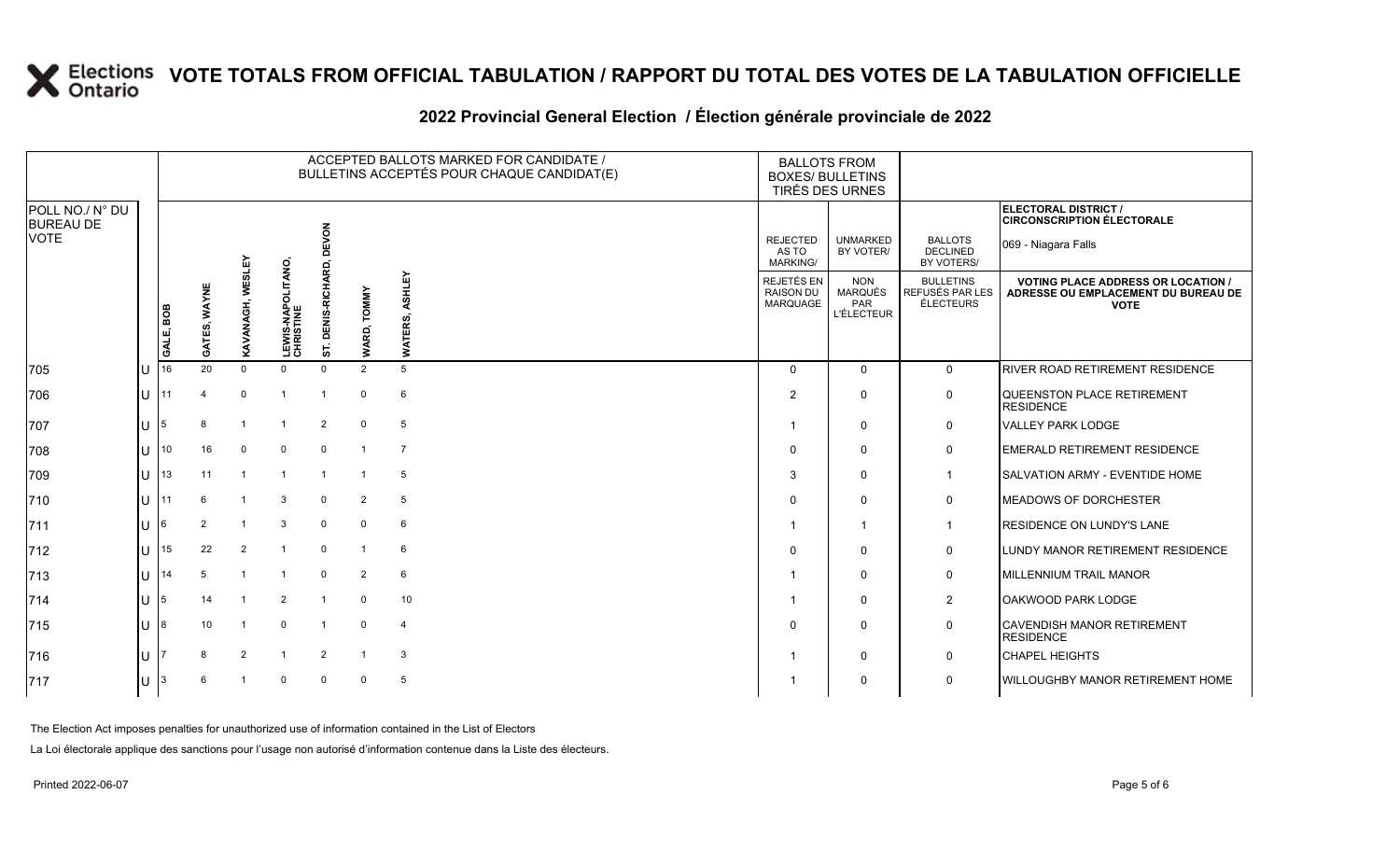#### **2022 Provincial General Election / Élection générale provinciale de 2022**

|                                     |     | ACCEPTED BALLOTS MARKED FOR CANDIDATE /<br>BULLETINS ACCEPTÉS POUR CHAQUE CANDIDAT(E) |              |                  |                                      |                                |                       |                           | <b>BALLOTS FROM</b><br><b>BOXES/ BULLETINS</b><br>TIRÉS DES URNES |                                                          |                                                  |                                                                                                 |
|-------------------------------------|-----|---------------------------------------------------------------------------------------|--------------|------------------|--------------------------------------|--------------------------------|-----------------------|---------------------------|-------------------------------------------------------------------|----------------------------------------------------------|--------------------------------------------------|-------------------------------------------------------------------------------------------------|
| POLL NO./ N° DU<br><b>BUREAU DE</b> |     |                                                                                       |              |                  |                                      |                                |                       |                           |                                                                   |                                                          |                                                  | ELECTORAL DISTRICT /<br><b>CIRCONSCRIPTION ÉLECTORALE</b>                                       |
| <b>VOTE</b>                         |     |                                                                                       |              |                  |                                      | EVON<br>6                      |                       |                           | <b>REJECTED</b><br>AS TO<br><b>MARKING/</b>                       | <b>UNMARKED</b><br>BY VOTER/                             | <b>BALLOTS</b><br><b>DECLINED</b><br>BY VOTERS/  | 069 - Niagara Falls                                                                             |
|                                     |     | GALE, BOB                                                                             | GATES, WAYNE | KAVANAGH, WESLEY | <b>LEWIS-NAPOLITANO</b><br>CHRISTINE | S-RICHA<br><b>DENIS</b><br>ST. | <b>TOMMY</b><br>WARD, | ASHLEY<br>တဲ<br>Ë<br>WATI | REJETÉS EN<br><b>RAISON DU</b><br><b>MARQUAGE</b>                 | <b>NON</b><br><b>MARQUÉS</b><br>PAR<br><b>L'ÉLECTEUR</b> | <b>BULLETINS</b><br>REFUSÉS PAR LES<br>ÉLECTEURS | <b>VOTING PLACE ADDRESS OR LOCATION /</b><br>ADRESSE OU EMPLACEMENT DU BUREAU DE<br><b>VOTE</b> |
| 705                                 | lU  | 16                                                                                    | 20           | $\Omega$         | $\Omega$                             | $\Omega$                       | 2                     | 5                         | $\Omega$                                                          | $\Omega$                                                 | $\overline{0}$                                   | <b>RIVER ROAD RETIREMENT RESIDENCE</b>                                                          |
| 706                                 | lu- | 11                                                                                    |              | $\Omega$         | $\overline{1}$                       | $\mathbf{1}$                   | $\Omega$              | 6                         | 2                                                                 | $\Omega$                                                 | $\mathbf 0$                                      | QUEENSTON PLACE RETIREMENT<br><b>RESIDENCE</b>                                                  |
| 707                                 | Iυ  | 5                                                                                     |              |                  |                                      | $\overline{2}$                 | $\mathbf 0$           | 5                         |                                                                   | $\Omega$                                                 | $\mathbf 0$                                      | <b>VALLEY PARK LODGE</b>                                                                        |
| 708                                 | lU  | 10                                                                                    | 16           | $\mathbf 0$      | $\mathbf 0$                          | $\overline{0}$                 |                       | $\overline{7}$            | $\mathbf 0$                                                       | 0                                                        | $\mathsf{O}$                                     | <b>EMERALD RETIREMENT RESIDENCE</b>                                                             |
| 709                                 | ΙU  | 13                                                                                    | 11           |                  | $\overline{1}$                       | $\overline{1}$                 |                       | 5                         | 3                                                                 | $\Omega$                                                 | $\mathbf{1}$                                     | <b>SALVATION ARMY - EVENTIDE HOME</b>                                                           |
| 710                                 | lu- | 11                                                                                    | 6            |                  | 3                                    | $\mathbf 0$                    | 2                     | 5                         | $\Omega$                                                          | $\Omega$                                                 | $\mathbf 0$                                      | <b>MEADOWS OF DORCHESTER</b>                                                                    |
| 711                                 | lu  | 6                                                                                     | 2            | $\overline{1}$   | 3                                    | $\mathbf 0$                    | $\mathbf 0$           | 6                         |                                                                   | $\overline{1}$                                           | $\mathbf 1$                                      | <b>RESIDENCE ON LUNDY'S LANE</b>                                                                |
| $ 712$                              | lU  | 15                                                                                    | 22           | 2                | $\overline{1}$                       | $\mathbf 0$                    |                       | 6                         | $\mathbf 0$                                                       | $\Omega$                                                 | $\mathsf{O}$                                     | LUNDY MANOR RETIREMENT RESIDENCE                                                                |
| 713                                 | lu  | 14                                                                                    |              |                  |                                      | $\Omega$                       | 2                     | 6                         |                                                                   | 0                                                        | $\mathsf{O}$                                     | <b>MILLENNIUM TRAIL MANOR</b>                                                                   |
| $ 714$                              | ΙU  | 5                                                                                     | 14           | $\overline{1}$   | 2                                    | $\overline{1}$                 | $\Omega$              | 10 <sup>1</sup>           |                                                                   | $\Omega$                                                 | $\overline{2}$                                   | OAKWOOD PARK LODGE                                                                              |
| 715                                 | lU  | 8                                                                                     | 10           |                  | $\mathbf{0}$                         | $\overline{1}$                 | $\mathbf 0$           | $\overline{4}$            | $\Omega$                                                          | $\Omega$                                                 | $\mathsf{O}$                                     | <b>CAVENDISH MANOR RETIREMENT</b><br><b>RESIDENCE</b>                                           |
| 716                                 | lU  |                                                                                       | 8            | 2                | -1                                   | 2                              |                       | 3                         |                                                                   | $\Omega$                                                 | $\mathbf 0$                                      | <b>CHAPEL HEIGHTS</b>                                                                           |
| 717                                 | IU. | 3                                                                                     | 6            |                  | $\Omega$                             | $\mathbf 0$                    | $\mathbf 0$           | 5                         |                                                                   | $\Omega$                                                 | $\mathbf 0$                                      | WILLOUGHBY MANOR RETIREMENT HOME                                                                |

The Election Act imposes penalties for unauthorized use of information contained in the List of Electors